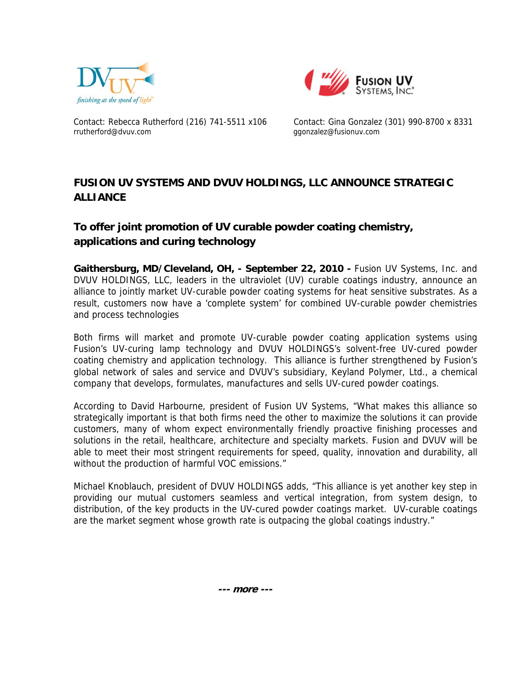



Contact: Rebecca Rutherford (216) 741-5511 x106 Contact: Gina Gonzalez (301) 990-8700 x 8331 rrutherford@dvuv.com ggonzalez@fusionuv.com

## **FUSION UV SYSTEMS AND DVUV HOLDINGS, LLC ANNOUNCE STRATEGIC ALLIANCE**

## **To offer joint promotion of UV curable powder coating chemistry, applications and curing technology**

Gaithersburg, MD/Cleveland, OH, - September 22, 2010 - Fusion UV Systems, Inc. and DVUV HOLDINGS, LLC, leaders in the ultraviolet (UV) curable coatings industry, announce an alliance to jointly market UV-curable powder coating systems for heat sensitive substrates. As a result, customers now have a 'complete system' for combined UV-curable powder chemistries and process technologies

Both firms will market and promote UV-curable powder coating application systems using Fusion's UV-curing lamp technology and DVUV HOLDINGS's solvent-free UV-cured powder coating chemistry and application technology. This alliance is further strengthened by Fusion's global network of sales and service and DVUV's subsidiary, Keyland Polymer, Ltd., a chemical company that develops, formulates, manufactures and sells UV-cured powder coatings.

According to David Harbourne, president of Fusion UV Systems, "What makes this alliance so strategically important is that both firms need the other to maximize the solutions it can provide customers, many of whom expect environmentally friendly proactive finishing processes and solutions in the retail, healthcare, architecture and specialty markets. Fusion and DVUV will be able to meet their most stringent requirements for speed, quality, innovation and durability, all without the production of harmful VOC emissions."

Michael Knoblauch, president of DVUV HOLDINGS adds, "This alliance is yet another key step in providing our mutual customers seamless and vertical integration, from system design, to distribution, of the key products in the UV-cured powder coatings market. UV-curable coatings are the market segment whose growth rate is outpacing the global coatings industry."

 **--- more ---**